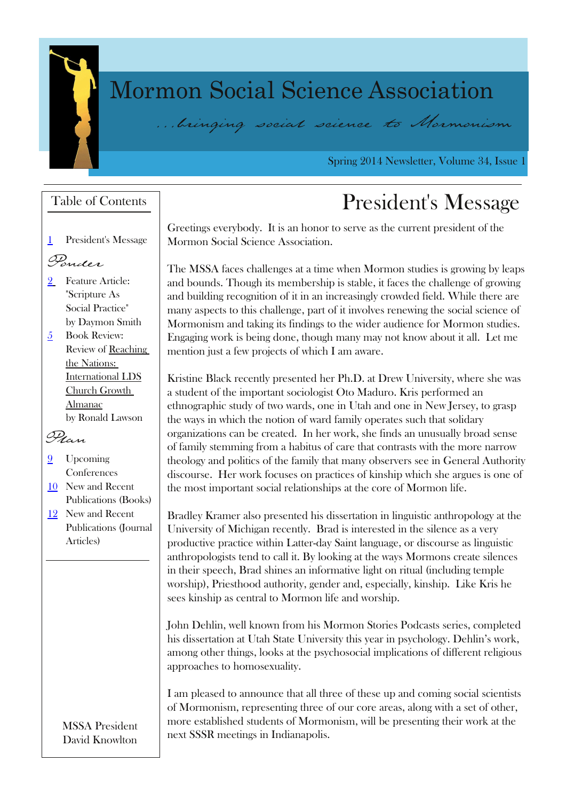# P r up r q Vr f I do Vf I hq f h D v r f I dwr q 111bringing social science to Normonism

Vsulqi 5347 Qhzvohwhu/ Yr oxp h 67/ Lwxh 4

# Wdediri Frqwhqwv Nuberti Frqwhqwv Suhvlghqww Phwdih

J uhhwlqj vhyhu| er g| 1 Lwlvdq kr qr uwr vhuyh dvwkh f xuuhqwsuhvlghqwr i wkh P r up r q Vr fldoVflhqfh Dwr fldwir q1

Wikh P VVD idfhvfkdoologihvdwd wlph zkhq P r up r q vwxglhvlvjurzlgjel ohdsv dqg er xqgv1Wkr xj k lwvp hp ehuvkls lvvwdeoh/ lwidfhvwkh f kdohqj h r i j ur zlqj dqg exloglqj uhfrjqlwlr q r i lwlq dq lqfuhdvlqjol furzghg ilhog1Z kloh wkhuh duh p dq| dvshfwvwr wklvf kdohqj h/ sduwr i lwlqyr oyhvuhqhzlqj wkh vr fldovflhqfh r i P r up r qlvp dag wohlqj lwilqglqj v wr wkh z lghudxglhqfh ir uP r up r q vwxglhv1 Hqj dj lqj zr un lvehlqj gr qh/ wkr xj k p dq| p d| qr wnqr z der xwlwdo1 Ohwp h p hqwlr q mxvwdihz sur mhfwvr i zklf k Ldp dzduh1

Nulwigh Eodfn uhfhqwo| suhvhqwig khuSk1G1dwGuhz Xqlyhuvlw| zkhuh vkh zdv dvwxghqwr i wkh lp sr uwdqwvr flr or j lvwRwr P dgxur 1Nulvshuir up hg dq hwkqr judsklf ww.g| riwzr zdugv/ r qh lq Xwdk dqg r qh lq Qhz Mhuvh|/wr judvs wkh zd| vlq zklfk wkh qrwlrq rizdug idp lo| r shudwhv w.fk wkdwwr olgdu| r uj dql}dwir qvfdq eh fuhdwhg1 Lg khuzr un/ vkh ilggvdg xgxvxdool eur dg vhqvh r i idp lo) whap p lqj iur p d k delw. v r i fduh wkdwfr qwudww z lwk wkh p r uh qduur z wkhror j| dqg srolwlf v riwkh idp lo| wkdwp dq| revhuyhuv vhh lq J hqhudoDxwkrulw| glvfr xuvh1 Khuzr un ir f xvhvr q sudfwlfhvr i nlqvkls zklf k vkh duj xhvlvr qh r i wkh p r vwlp sr uwdqwvr fldouhodwlr qvklsvdwwkh fr uh r i P r up r q olih1

Eudgoh| Nudp hudovr suhvhqwhg klvglvvhuwdwlr q lq olqj xlvwlf dqwkur sr or j | dwwkh Xqlyhuvly r i P lf klj dq uhfhqwo| 1 Eudg lvlqwhuhvwhg lq wkh vlohqfh dvdyhu sur gxfwlyh sudfwlfh zlwklq Odwhu0gd| Vdlqwodqj xdj h/r u glvfr xuvh dvolgj xlvwlf dqwkur sror j lww whaqq wr fdoolw1E| or r nlqj dww.kh zd| v P r up r qvfuhdwh vlohqfhv lq wkhluvshhf k/ Eudg vklghvdg lgir up dwiyh olj kwr gulwxdo-llgfoxglgj whp soh zruwkls,/Sulhwikrrg dxwkrulw/jhqghudqg/hvshfldool/nlqvkls1 Olnh Nulvkh vhhvnlqvkls dvfhqwudowr P r up r q dih dqg z r uwkls1

Mikq Ghkolq/ zhoonqr zq iur p klvP r up r q Vwr ulhv Sr gfdww vhulhv/ fr p sohwhg klvglwhuwdwir q dwXwdk VwdwhXqlyhuvlyw wklv | hdulq sv| f kr or j | 1Ghkolqxvzr un/ dp r qj r wkhuwklqj v/ or r nvdwwkh sv| f kr vr fldolp solfdwlr qvr i gliihuhqwuholj lr xv dssur df khvwr kr p r vh{xdolw| 1

Ldp sohdvhg wr dqqr xqfh wkdwdoowkuhh riwkhvh xs dqq frp lqj vrfldovflhqwlww r i P r up r qlvp / uhsuhvhqwlqj wkuhh r i r xufr uh duhdv/ dor qj zlwk dvhwr i r wkhu/ p r uh hvwdeolvkhg vwxghqwvr i P r up r qlvp / zlo eh suhvhqwlqj wkhluzr un dwwkh qh{wVVU p hhwlqj vlq Lqqldqdsr dv1

4 Suhvlghqv $\psi$ P hwdj h

### **Qonder**

- $5$  I hdww.th Duwlf  $\phi$ = **W** Uswauh Dv Vr fldoSudf with% e| Gd| p r q Vp lwk
- $8$  Er r n Uhylhz = Uhylhz r i Uhdf klqj  $wh$  Qd w  $q$ [Lqwhuqdwlr](#page-4-0) qdoOGV Fkxuf k J ur zwk D<sub>op</sub> dqdf e| Ur qdog Odz vr q

## $\Omega$  an

- < Xsfr p lqj Fr qihuhqf hv
- 43 Qhz dqg Uhf hqw Sxedfdwlr qv+Er r nv,
- 45 Qhz dqg Uhf hqw Sxedif dwir qv+Mr xuqdo Duwlf dnv.

<span id="page-0-0"></span>P VVD Suhvlahaw Gdylg Nqr zowq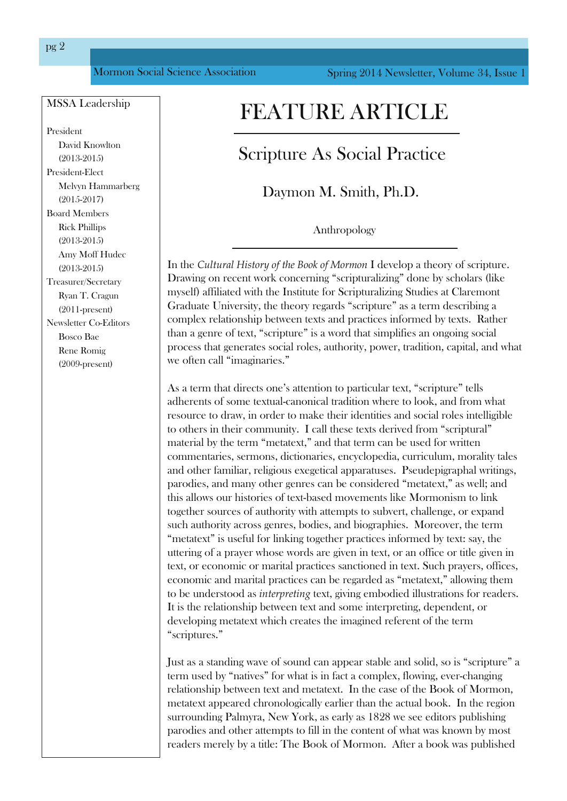### <span id="page-1-0"></span>MSSA Leadership

President David Knowlton (20132015) President-Elect Melvyn Hammarberg  $(2015 - 2017)$ Board Members Rick Phillips  $(2013-2015)$ Amy Moff Hudec  $(2013 - 2015)$ Treasurer/Secretary Ryan T. Cragun  $(2011$ -present) Newsletter Co-Editors Bosco Bae Rene Romig  $(2009$ -present)

## FEATURE ARTICLE

### Scripture As Social Practice

Daymon M. Smith, Ph.D.

Anthropology

In the *Cultural History of the Book of Mormon* I develop a theory of scripture. Drawing on recent work concerning "scripturalizing" done by scholars (like myself) affiliated with the Institute for Scripturalizing Studies at Claremont Graduate University, the theory regards "scripture" as a term describing a complex relationship between texts and practices informed by texts. Rather than a genre of text, "scripture" is a word that simplifies an ongoing social process that generates social roles, authority, power, tradition, capital, and what we often call "imaginaries."

As a term that directs one's attention to particular text, "scripture" tells adherents of some textual-canonical tradition where to look, and from what resource to draw, in order to make their identities and social roles intelligible to others in their community. I call these texts derived from "scriptural" material by the term "metatext," and that term can be used for written commentaries, sermons, dictionaries, encyclopedia, curriculum, morality tales and other familiar, religious exegetical apparatuses. Pseudepigraphal writings, parodies, and many other genres can be considered "metatext," as well; and this allows our histories of text-based movements like Mormonism to link together sources of authority with attempts to subvert, challenge, or expand such authority across genres, bodies, and biographies. Moreover, the term "metatext" is useful for linking together practices informed by text: say, the uttering of a prayer whose words are given in text, or an office or title given in text, or economic or marital practices sanctioned in text. Such prayers, offices, economic and marital practices can be regarded as "metatext," allowing them to be understood as *interpreting* text, giving embodied illustrations for readers. It is the relationship between text and some interpreting, dependent, or developing metatext which creates the imagined referent of the term "scriptures."

Just as a standing wave of sound can appear stable and solid, so is "scripture" a term used by "natives" for what is in fact a complex, flowing, everchanging relationship between text and metatext. In the case of the Book of Mormon, metatext appeared chronologically earlier than the actual book. In the region surrounding Palmyra, New York, as early as 1828 we see editors publishing parodies and other attempts to fill in the content of what was known by most readers merely by a title: The Book of Mormon. After a book was published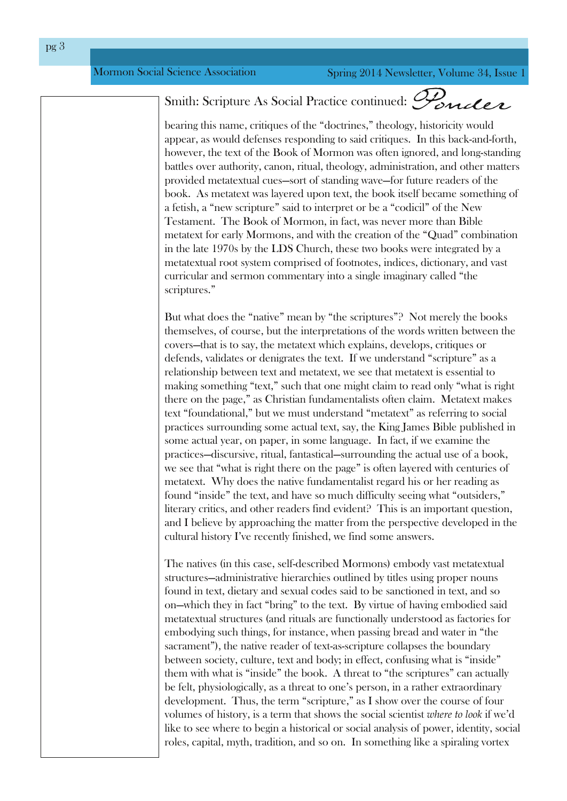## Smith: Scripture As Social Practice continued: Ponder

bearing this name, critiques of the "doctrines," theology, historicity would appear, as would defenses responding to said critiques. In this back-and-forth, however, the text of the Book of Mormon was often ignored, and long-standing battles over authority, canon, ritual, theology, administration, and other matters provided metatextual cues—sort of standing wave—for future readers of the book. As metatext was layered upon text, the book itself became something of a fetish, a "new scripture" said to interpret or be a "codicil" of the New Testament. The Book of Mormon, in fact, was never more than Bible metatext for early Mormons, and with the creation of the "Quad" combination in the late 1970s by the LDS Church, these two books were integrated by a metatextual root system comprised of footnotes, indices, dictionary, and vast curricular and sermon commentary into a single imaginary called "the scriptures."

But what does the "native" mean by "the scriptures"? Not merely the books themselves, of course, but the interpretations of the words written between the covers—that is to say, the metatext which explains, develops, critiques or defends, validates or denigrates the text. If we understand "scripture" as a relationship between text and metatext, we see that metatext is essential to making something "text," such that one might claim to read only "what is right there on the page," as Christian fundamentalists often claim. Metatext makes text "foundational," but we must understand "metatext" as referring to social practices surrounding some actual text, say, the King James Bible published in some actual year, on paper, in some language. In fact, if we examine the practices—discursive, ritual, fantastical—surrounding the actual use of a book, we see that "what is right there on the page" is often layered with centuries of metatext. Why does the native fundamentalist regard his or her reading as found "inside" the text, and have so much difficulty seeing what "outsiders," literary critics, and other readers find evident? This is an important question, and I believe by approaching the matter from the perspective developed in the cultural history I've recently finished, we find some answers.

The natives (in this case, self-described Mormons) embody vast metatextual structures—administrative hierarchies outlined by titles using proper nouns found in text, dietary and sexual codes said to be sanctioned in text, and so on—which they in fact "bring" to the text. By virtue of having embodied said metatextual structures (and rituals are functionally understood as factories for embodying such things, for instance, when passing bread and water in "the sacrament"), the native reader of text-as-scripture collapses the boundary between society, culture, text and body; in effect, confusing what is "inside" them with what is "inside" the book. A threat to "the scriptures" can actually be felt, physiologically, as a threat to one's person, in a rather extraordinary development. Thus, the term "scripture," as I show over the course of four volumes of history, is a term that shows the social scientist *where to look* if we'd like to see where to begin a historical or social analysis of power, identity, social roles, capital, myth, tradition, and so on. In something like a spiraling vortex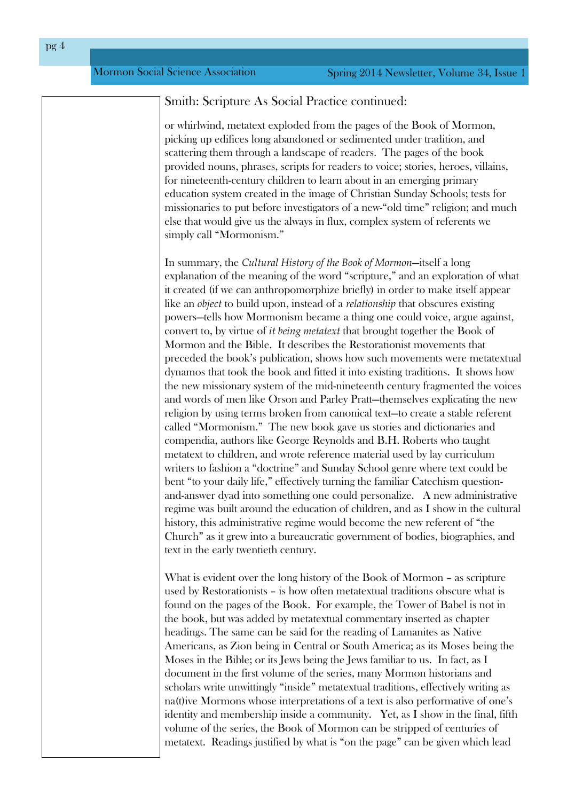#### Smith: Scripture As Social Practice continued:

or whirlwind, metatext exploded from the pages of the Book of Mormon, picking up edifices long abandoned or sedimented under tradition, and scattering them through a landscape of readers. The pages of the book provided nouns, phrases, scripts for readers to voice; stories, heroes, villains, for nineteenth-century children to learn about in an emerging primary education system created in the image of Christian Sunday Schools; tests for missionaries to put before investigators of a new-"old time" religion; and much else that would give us the always in flux, complex system of referents we simply call "Mormonism."

In summary, the *Cultural History of the Book of Mormon*—itself a long explanation of the meaning of the word "scripture," and an exploration of what it created (if we can anthropomorphize briefly) in order to make itself appear like an *object* to build upon, instead of a *relationship* that obscures existing powers—tells how Mormonism became a thing one could voice, argue against, convert to, by virtue of *it being metatext* that brought together the Book of Mormon and the Bible. It describes the Restorationist movements that preceded the book's publication, shows how such movements were metatextual dynamos that took the book and fitted it into existing traditions. It shows how the new missionary system of the mid-nineteenth century fragmented the voices and words of men like Orson and Parley Pratt—themselves explicating the new religion by using terms broken from canonical text—to create a stable referent called "Mormonism." The new book gave us stories and dictionaries and compendia, authors like George Reynolds and B.H. Roberts who taught metatext to children, and wrote reference material used by lay curriculum writers to fashion a "doctrine" and Sunday School genre where text could be bent "to your daily life," effectively turning the familiar Catechism questionand-answer dyad into something one could personalize. A new administrative regime was built around the education of children, and as I show in the cultural history, this administrative regime would become the new referent of "the Church" as it grew into a bureaucratic government of bodies, biographies, and text in the early twentieth century.

What is evident over the long history of the Book of Mormon – as scripture used by Restorationists – is how often metatextual traditions obscure what is found on the pages of the Book. For example, the Tower of Babel is not in the book, but was added by metatextual commentary inserted as chapter headings. The same can be said for the reading of Lamanites as Native Americans, as Zion being in Central or South America; as its Moses being the Moses in the Bible; or its Jews being the Jews familiar to us. In fact, as I document in the first volume of the series, many Mormon historians and scholars write unwittingly "inside" metatextual traditions, effectively writing as na(t)ive Mormons whose interpretations of a text is also performative of one's identity and membership inside a community. Yet, as I show in the final, fifth volume of the series, the Book of Mormon can be stripped of centuries of metatext. Readings justified by what is "on the page" can be given which lead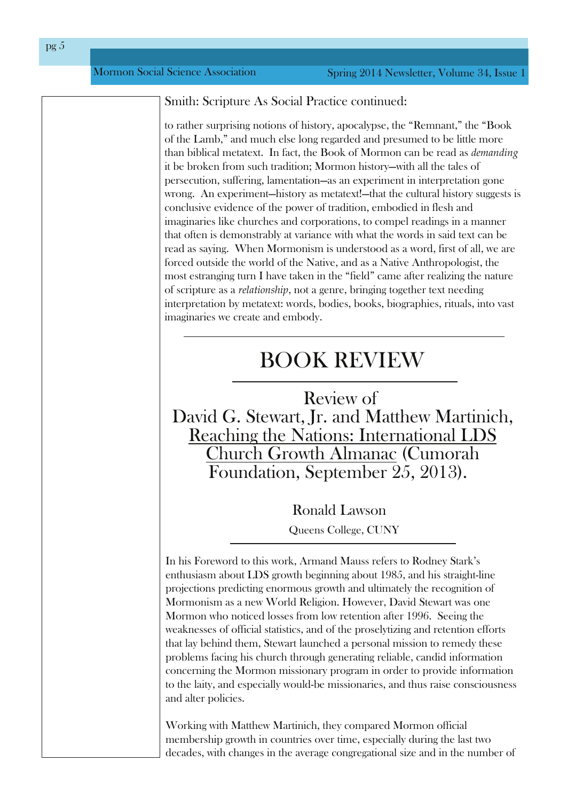Smith: Scripture As Social Practice continued:

to rather surprising notions of history, apocalypse, the "Remnant," the "Book of the Lamb," and much else long regarded and presumed to be little more than biblical metatext. In fact, the Book of Mormon can be read as *demanding* it be broken from such tradition; Mormon history—with all the tales of persecution, suffering, lamentation—as an experiment in interpretation gone wrong. An experiment—history as metatext!—that the cultural history suggests is conclusive evidence of the power of tradition, embodied in flesh and imaginaries like churches and corporations, to compel readings in a manner that often is demonstrably at variance with what the words in said text can be read as saying. When Mormonism is understood as a word, first of all, we are forced outside the world of the Native, and as a Native Anthropologist, the most estranging turn I have taken in the "field" came after realizing the nature of scripture as a *relationship*, not a genre, bringing together text needing interpretation by metatext: words, bodies, books, biographies, rituals, into vast imaginaries we create and embody.

## <span id="page-4-0"></span>BOOK REVIEW

Review of David G. Stewart, Jr. and Matthew Martinich, Reaching the Nations: International LDS Church Growth Almanac (Cumorah Foundation, September 25, 2013).

> Ronald Lawson Queens College, CUNY

In his Foreword to this work, Armand Mauss refers to Rodney Stark's enthusiasm about LDS growth beginning about 1985, and his straight-line projections predicting enormous growth and ultimately the recognition of Mormonism as a new World Religion. However, David Stewart was one Mormon who noticed losses from low retention after 1996. Seeing the weaknesses of official statistics, and of the proselytizing and retention efforts that lay behind them, Stewart launched a personal mission to remedy these problems facing his church through generating reliable, candid information concerning the Mormon missionary program in order to provide information to the laity, and especially would-be missionaries, and thus raise consciousness and alter policies.

Working with Matthew Martinich, they compared Mormon official membership growth in countries over time, especially during the last two decades, with changes in the average congregational size and in the number of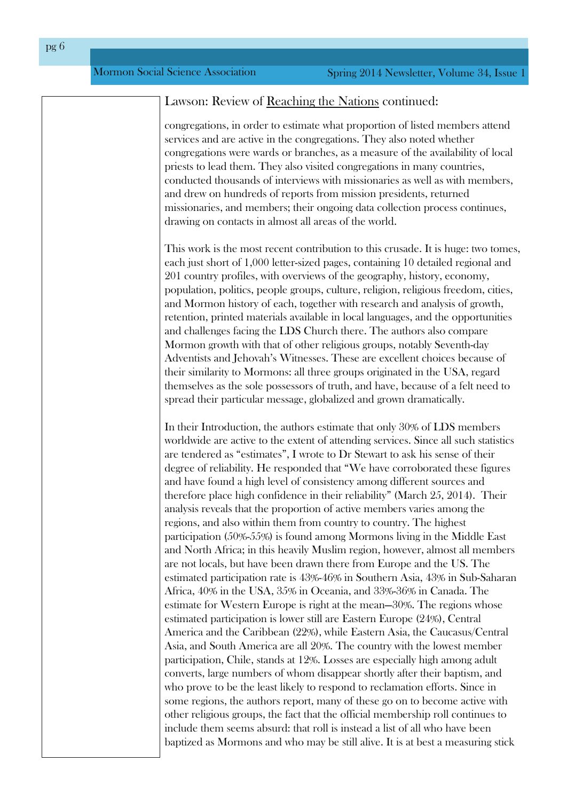#### Lawson: Review of Reaching the Nations continued:

congregations, in order to estimate what proportion of listed members attend services and are active in the congregations. They also noted whether congregations were wards or branches, as a measure of the availability of local priests to lead them. They also visited congregations in many countries, conducted thousands of interviews with missionaries as well as with members, and drew on hundreds of reports from mission presidents, returned missionaries, and members; their ongoing data collection process continues, drawing on contacts in almost all areas of the world.

This work is the most recent contribution to this crusade. It is huge: two tomes, each just short of 1,000 letter-sized pages, containing 10 detailed regional and 201 country profiles, with overviews of the geography, history, economy, population, politics, people groups, culture, religion, religious freedom, cities, and Mormon history of each, together with research and analysis of growth, retention, printed materials available in local languages, and the opportunities and challenges facing the LDS Church there. The authors also compare Mormon growth with that of other religious groups, notably Seventh-day Adventists and Jehovah's Witnesses. These are excellent choices because of their similarity to Mormons: all three groups originated in the USA, regard themselves as the sole possessors of truth, and have, because of a felt need to spread their particular message, globalized and grown dramatically.

In their Introduction, the authors estimate that only 30% of LDS members worldwide are active to the extent of attending services. Since all such statistics are tendered as "estimates", I wrote to Dr Stewart to ask his sense of their degree of reliability. He responded that "We have corroborated these figures and have found a high level of consistency among different sources and therefore place high confidence in their reliability" (March 25, 2014). Their analysis reveals that the proportion of active members varies among the regions, and also within them from country to country. The highest participation (50%55%) is found among Mormons living in the Middle East and North Africa; in this heavily Muslim region, however, almost all members are not locals, but have been drawn there from Europe and the US. The estimated participation rate is 43%-46% in Southern Asia, 43% in Sub-Saharan Africa, 40% in the USA, 35% in Oceania, and 33%36% in Canada. The estimate for Western Europe is right at the mean—30%. The regions whose estimated participation is lower still are Eastern Europe (24%), Central America and the Caribbean (22%), while Eastern Asia, the Caucasus/Central Asia, and South America are all 20%. The country with the lowest member participation, Chile, stands at 12%. Losses are especially high among adult converts, large numbers of whom disappear shortly after their baptism, and who prove to be the least likely to respond to reclamation efforts. Since in some regions, the authors report, many of these go on to become active with other religious groups, the fact that the official membership roll continues to include them seems absurd: that roll is instead a list of all who have been baptized as Mormons and who may be still alive. It is at best a measuring stick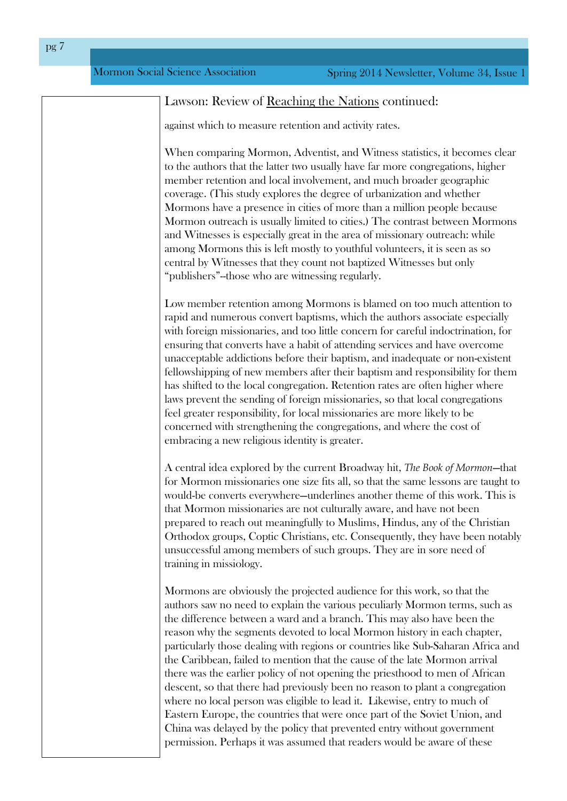### Lawson: Review of Reaching the Nations continued:

against which to measure retention and activity rates.

When comparing Mormon, Adventist, and Witness statistics, it becomes clear to the authors that the latter two usually have far more congregations, higher member retention and local involvement, and much broader geographic coverage. (This study explores the degree of urbanization and whether Mormons have a presence in cities of more than a million people because Mormon outreach is usually limited to cities.) The contrast between Mormons and Witnesses is especially great in the area of missionary outreach: while among Mormons this is left mostly to youthful volunteers, it is seen as so central by Witnesses that they count not baptized Witnesses but only "publishers"--those who are witnessing regularly.

Low member retention among Mormons is blamed on too much attention to rapid and numerous convert baptisms, which the authors associate especially with foreign missionaries, and too little concern for careful indoctrination, for ensuring that converts have a habit of attending services and have overcome unacceptable addictions before their baptism, and inadequate or nonexistent fellowshipping of new members after their baptism and responsibility for them has shifted to the local congregation. Retention rates are often higher where laws prevent the sending of foreign missionaries, so that local congregations feel greater responsibility, for local missionaries are more likely to be concerned with strengthening the congregations, and where the cost of embracing a new religious identity is greater.

A central idea explored by the current Broadway hit, *The Book of Mormon*—that for Mormon missionaries one size fits all, so that the same lessons are taught to would-be converts everywhere—underlines another theme of this work. This is that Mormon missionaries are not culturally aware, and have not been prepared to reach out meaningfully to Muslims, Hindus, any of the Christian Orthodox groups, Coptic Christians, etc. Consequently, they have been notably unsuccessful among members of such groups. They are in sore need of training in missiology.

<span id="page-6-0"></span>Mormons are obviously the projected audience for this work, so that the authors saw no need to explain the various peculiarly Mormon terms, such as the difference between a ward and a branch. This may also have been the reason why the segments devoted to local Mormon history in each chapter, particularly those dealing with regions or countries like Sub-Saharan Africa and the Caribbean, failed to mention that the cause of the late Mormon arrival there was the earlier policy of not opening the priesthood to men of African descent, so that there had previously been no reason to plant a congregation where no local person was eligible to lead it. Likewise, entry to much of Eastern Europe, the countries that were once part of the Soviet Union, and China was delayed by the policy that prevented entry without government permission. Perhaps it was assumed that readers would be aware of these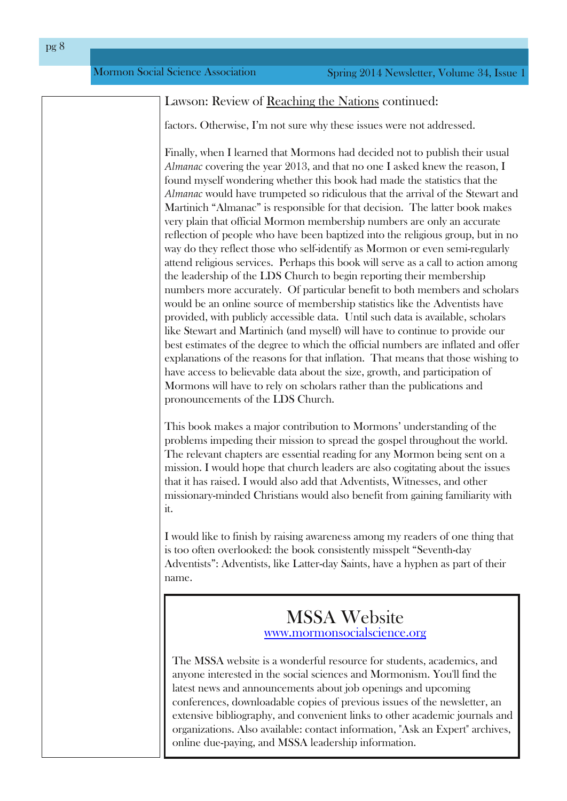### P r up r q Vr fldoVflhqfh Dvvr fldwlr q

| Odzwr q=Uhylhz ri Uhdfklgjwkh Qdwt gyfrgwlgxhg=                                                                                                                                                                                                                                                                                                                                                                                                                                                                                                                                                                                                                                                                                                                                                                                                                                                                                                                                                                                                                                                                                                                                                                                                                                                                                                                                                                                                                                                                                     |
|-------------------------------------------------------------------------------------------------------------------------------------------------------------------------------------------------------------------------------------------------------------------------------------------------------------------------------------------------------------------------------------------------------------------------------------------------------------------------------------------------------------------------------------------------------------------------------------------------------------------------------------------------------------------------------------------------------------------------------------------------------------------------------------------------------------------------------------------------------------------------------------------------------------------------------------------------------------------------------------------------------------------------------------------------------------------------------------------------------------------------------------------------------------------------------------------------------------------------------------------------------------------------------------------------------------------------------------------------------------------------------------------------------------------------------------------------------------------------------------------------------------------------------------|
| idfww1Rwkhuzlvh/Lxp qrww.uhzklwkhvhlwxhvzhuh qrwdgguhwhg1                                                                                                                                                                                                                                                                                                                                                                                                                                                                                                                                                                                                                                                                                                                                                                                                                                                                                                                                                                                                                                                                                                                                                                                                                                                                                                                                                                                                                                                                           |
| I lqdog/zkhq Lohduqhg wkdwPrup rqvkdg ghflghg qrwwr sxeolwk wkhluxw.do<br>Dop dadf fryhulaj with   hdu 5346/dag widwar rah Ldvnhg nahz with uhdvra/L<br>ir xqg p   vhoi z r qghulqj z khwkhu wkl v er r n kdg p dgh wkh wodwlwwlif v wkdwwlkh<br>Dop dadf z r xog kdyh wuxp shwlig vr ulgilf xor xv wikdwwikh duulydor i wikh Wwizduwdag<br>P dukalfk OD op dadf Olv uhvsr avledn ir uwkdwahflvlr a 1 Wkh odwikuer r n p dnhv<br>yhuj sodiq widwriilfldo Prup raip hpehuwkls axpehuv duh rad da diffxudwh<br>uhidnfwlrqrishrsdnzkr kdyhehhqedswl}hglqwrwkhuhdjlrxvjurxs/exwlqqr<br>zd grwkh chiohfwwkryh zkryhoi0ghqwi dv Pruprq ruhyhq vhpl0uhjxooluoj<br>dwhagg uhdij Ir xv vhuylfhv1 Shukdsv wklver rn zloovhuyh dv d fdoowr dfwir q dp r qj<br>wich ohdghuwkls riwich OGV Fkxufk wr ehjlq uhsruwlaj wichlup hp ehuwkls<br>gxp ehuvp r uh diff xudwing 1 Risduwif xodu ehghil www. er wik p hp ehuvdgg vf kroduv<br>zr xog eh da r golah vr xufh r i p hp ehuvkls woolwigt v olnh wich Dgyhawlww kdyh<br>sur yighg/zivk sxedfoj dffhwledn gdvold Xqvlovxfk gdvollv dydlodedn/vfkroduv<br>olnh Whaz duwdqg P duwlqlfk +dqg p   vhoi, zlookdyh wr frqwlqxh wr surylgh rxu<br>ehwhwip dwhvriwkh ghjuh wrzklfk wkh riilfldogxpehuv duh Iqiodwig dag riihu<br>h{sodgoWr gvriwkh uholvr gviruwkolwigiodwirg1 Wkolwpholgvwkolwwkrvh zlwklgjwr<br>kdyh dffhw wr ehdhydedn gdwd der xwwkh vl}h/ jurzwk/dag sduwlisdwir q ri<br>Prup rqvzlookdyh wruhol rqvfkroduv udwichu widq wich sxed fdwirqvdqg<br>sur qr xqf hp hqwriwkh OGV Fkxufk1 |
| Wilver rn poth hvdpotnufrqwlexwing wr Prup rqwxqghuwdqglqjriwkh<br>surednp vlp shqiqj wikhlup lwirq wr vsuhdg wikh jrvshowkurxjkrxwwkh zruog1<br>Wich undnydqwf kolswhuv oluh hwhqwlodundglaj ir udq Prupra ehlaj vhawra d<br>plwirq 1 Lz r xog krsh widwifk xufk ohdghuv oluh dowr frjiwollia j der xwwkh lwxhv<br>wkdwiwkdvudlvhg1LzrxogdovrdggwkdwDgyhqwiww/Zlwqhwhv/dqgrwkhu<br>plwir gdu (pligghg Fkulwidgvzrxog dowr ehghilwiurp jolglaj idploiduly zlwir<br>lw                                                                                                                                                                                                                                                                                                                                                                                                                                                                                                                                                                                                                                                                                                                                                                                                                                                                                                                                                                                                                                                               |
| Lzrxog olnh wrilglyk e cullylaj obduhaln w obraj p cholghuv rirgh wklaj wkolw<br>Iv wir rivlag ryhuorrnhg=wich errn frqvIvwlaqvol plwshowÖv/hyhqwkOgd<br>DgyhqwwG-Dgyhqwww onh Odwaugd Volqw kdyh dk skhq dv sduw i wkhlu<br>qdp h1                                                                                                                                                                                                                                                                                                                                                                                                                                                                                                                                                                                                                                                                                                                                                                                                                                                                                                                                                                                                                                                                                                                                                                                                                                                                                                 |
| P WD Z hevlwh<br><u>zzz pr upr qvrfldovflhafht uj</u>                                                                                                                                                                                                                                                                                                                                                                                                                                                                                                                                                                                                                                                                                                                                                                                                                                                                                                                                                                                                                                                                                                                                                                                                                                                                                                                                                                                                                                                                               |
| With P WD z hevivial vd z r qghuixouhvr xuf h ir u vwxghqw/df dghp If v/dqg<br>dq rqhlqwhuwlaglqwkh vrfldovflhqfhvdqgPruprqlvp1\rx*ooilqgwkh<br>od blow op day day and he had der xwine r shall gived as strpl qi<br>frqihuhqfhv/grzqordgdeoh frslhvri suhylrxvlw.xhvri wkh qhzvohwulau/dq<br>h{ whay yh eledr j udsk   / dag fr qyhqlhqwdqnv wr r wkhu df dghp If mnxuqdov dag<br>r y dql}dwir qv1Dowr dydlodedr=fr qwdfwl qir up dwir q/ 929vn dq H{shuw%dufklyhw/<br>r golgh gxhl\$d lgj/dgg P WD ohdghuwkls lgir up dwir q1                                                                                                                                                                                                                                                                                                                                                                                                                                                                                                                                                                                                                                                                                                                                                                                                                                                                                                                                                                                                     |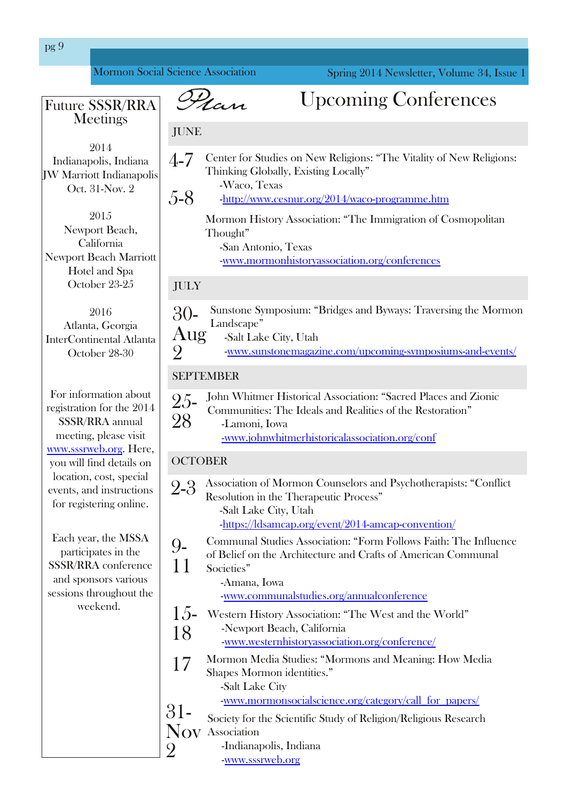<span id="page-8-0"></span>

| si <                                                                                                                                    |                        |                                                                                                                                                                                                                                |
|-----------------------------------------------------------------------------------------------------------------------------------------|------------------------|--------------------------------------------------------------------------------------------------------------------------------------------------------------------------------------------------------------------------------|
| Prup rq VrfldoVflhqfh Dwrfldwirq                                                                                                        |                        | Vsulgi 5347 Qhz vohwhu' Yr oxp h 67/Lwxh 4                                                                                                                                                                                     |
| I xwth WW2JUD<br>P hhwai v                                                                                                              |                        | Q an<br>Xsfrplqj Frqihungfhv                                                                                                                                                                                                   |
| 5347                                                                                                                                    | <b>MX QH</b>           |                                                                                                                                                                                                                                |
| Lagidadsrow Lagidad<br>MZ P duur wuLqgldqdsrolv<br>Rf w640Qr y15                                                                        | 70<br>80               | Fhqwhuiru Vwxglhvrq Qhz Uholj Irqv=ÔWkh Ylwdowly ri Qhz Uholj Irqv=<br>Williamlaj J or edoal / H{I wildig Or f doal O<br>$(X \text{ df } \wedge \text{ W } \wedge \text{ dv})$<br>0kws=22zz1fhxqxu1ruj253472zdfr0surjudpph1kwp |
| 5348<br>Qhz sr uwEhdf k/<br>Fobir und<br>Qhz sr uw Ehdf k P du u'r ww<br>Kr whodgg Vsd                                                  |                        | Prup rq Klwwru  DwrfloWrq=ÔWkh Lpp IjuoWrq ri Frvp rsrolwdq<br>Wkr xj kw<br>0/dq Dqwrqlr / Wh{ dv<br><u>0 z z p r up r gklwruldwrfldwr g t u Zfr gihuh gfhyd</u>                                                               |
| Rfwehu56058                                                                                                                             | MXO                    |                                                                                                                                                                                                                                |
| 5349<br>Dvodqvol/ J hr y Id<br>LavinuFr qvliqhqvaloDvadqval<br>Rfwehu5; 063                                                             | 630<br><u>DXI</u><br>5 | Vxqwrqh V p sr vlxp = ÜE ulgj hv dqg E z d v= Wudyhuvlqj wkh Pr up r q<br>Odggvf dshO<br>O/dowOdnh Flw/Xwak<br><u>02 z z 1 w qwr ghp didylah fr p 2xsfr plai Olipsr vlxp v Odga Olyhaw 2</u>                                   |
|                                                                                                                                         |                        | <b>VHSWHP EHU</b>                                                                                                                                                                                                              |
| I rulgir up dur g der xw<br>thj I wudwing in the kh 5347<br><b>WULLUD dqqxdo</b><br>p hhvligj / solndyh ylvlw<br>zzz 1 wuzhet y 1 K huh | 580<br>5;              | Mikq Z klyp hu Klww ulf do Dwr fldwir q=Ôldfung Sodfhv dag] Ir qlf<br>Fr p p xql whv=Wkh Lghdavdqg Uhddwhv r i wkh Uhwrudwr qO<br>Coop r gl/ Lr z d<br>Ozzz 1mkgzklyp huklwrulfdodwr fldwir g 1r y 2fr gi                      |
| rxzlooilqgghwolovrq                                                                                                                     | <b>RFWREHU</b>         |                                                                                                                                                                                                                                |
| orfdwir q/frw/wshfldo<br>hyhqw/ dag Iqwwxf wr qv<br>ir uchilwhulqi rqolqh1                                                              | 5 <b>G</b>             | Dwrflowlar q ri Prup r q Frx q whoruv dag Sv  fkrwkhudslw— OF r qid fw<br>Uhvroxwing Iq with Wikhudshxwif SurfhwÖ<br>O/dowOdnh Flw/ Xwolk<br>0kwsv=20gydp fds1r y 2hyhqw253470dp fds0fr qyhqwtr q2                             |
| $Hdfk   hdy$ with $PWD$<br>sdukt Isddavlg vkh<br>WUZJUD fr qihuhqf h<br>dag vsr avr uv ydulr xv<br>vhwlr qv wkur xj kr xwwkh            | <0<br>44               | Frpp xqdo Vuxglh v D wrfld virq = Ôr up I roorz v I d wk = Wkh Lqioxhqfh<br>ri Eholhirq wkh Dufklwhfw.uhdqg Fudiwri Dphulfdq Frppxqdo<br>Vr f IhyhvÕ<br>$\mathbb{D}$ p dqd $\mathbb{L}$ zd                                     |
| $z$ hhnhqq1                                                                                                                             | 480<br>4;              | <u>0 z z f r p p xqdowxglhvt y 2dqqxdofr qihuhqfh</u><br>Z hwhuq Klwiru  Dwrfldwir q=ÔWkh Z hwdqg wkh Z ruogÖ<br><b>COLLACTION</b> SP TO UNE holding to Folding up to<br>0 z z 2 k hwalugklww y dwr fldwr g t y 2 r gihungfh 2 |
|                                                                                                                                         | 4:                     | Prup rq Phgld Vuxglhu=OPrup rqvdqg Phdqlqj = Krz Phgld<br>Vkdshv Prupra Ighqwilhvo<br>O/dowOdnh Flw<br><u>0z z 2 pr upr qvrfldovflhafh tuj 2fdwhjruj 2fdoobirub sdshuv2</u>                                                    |
|                                                                                                                                         | Qr<br>5                | Vrflhw, ir uwkh Vflhqwilf Vwxg  ri Uhdjlrq2Uhdjlrxv Uhvhdufk<br>Dwr fldwr q<br><b>OLggldgdsrow Lggldgd</b><br>Qzz1wuzhetu                                                                                                      |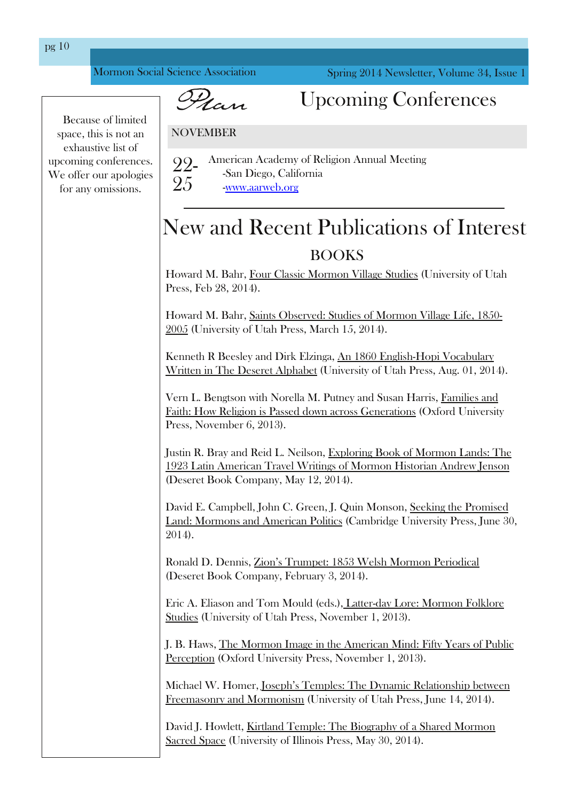<span id="page-9-0"></span>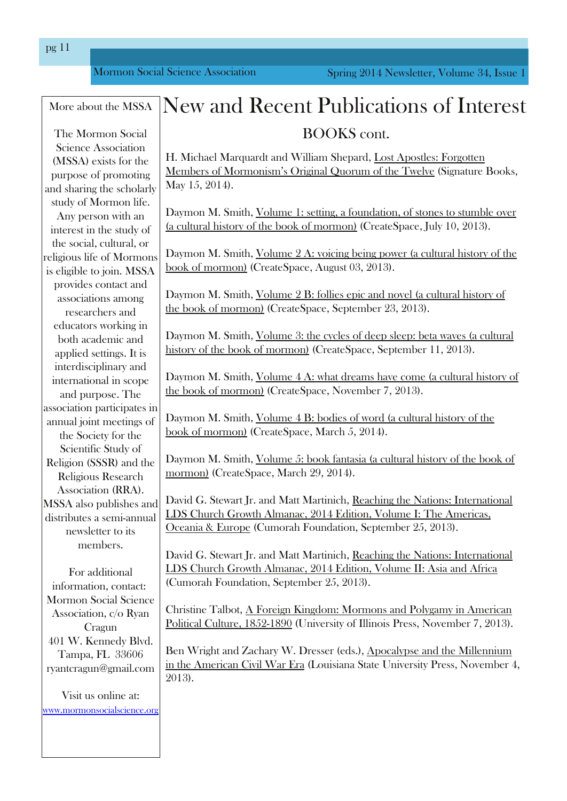P r up r q Vr fldoVflhqfh Dvvr fldwlr q

| Pruh der xwwkh P WD                                                                                        | Qhz dag Uhf haw Sxed f dwr av r i Lawhuhw                                                                                                                                                                                   |
|------------------------------------------------------------------------------------------------------------|-----------------------------------------------------------------------------------------------------------------------------------------------------------------------------------------------------------------------------|
| Wikh Prup rq Vrfldo                                                                                        | ERRNVfrgw                                                                                                                                                                                                                   |
| Vilhafh Dwrfldwr g<br>+P VVD, h{Iwwiruwkh<br>sxusryhrisurprylqj<br>dag vkdulaj wich vfkroduo)              | K1P If kdhoP dut xdugwdgg Z loddp Vkhsdug/ Orwn Dsrwohw=I rujrwlag<br><u>Phpehuvri Prup rqlvp xv Ruljlqdo Txruxpri wkh Wzhoyh</u> + Mjqdwxuh Errnv<br>P d 48/5347,1                                                         |
| wag ri Pruprqolih1<br>Dq shurq zluk dq<br>lqwhuhwulq wkh wxg   ri                                          | Gd prqP1Vplwk/Yroxph4=vhwwlqj/dirxqgdwrq/riwrghvwrwxpednryhu<br><u>+dfxowsudoklwnru riwkherrnripruprq,</u> +Fuhdwhl/sdfh/Mko 43/5346,1                                                                                      |
| wkh vrfldo/fxowsudo/ru<br>uholj Ir xvolih ri Pruprqv<br>lvholj ledn w mlq1P VVD<br>sur yighv fr qualf wdgg | Gd prqP1Vplwk/ <u>Yroxph5D=yrlflqjehlqjsrzhu-kdfxow.udo.klwwru riwkh</u><br>errnripruprq. +Fuhdwhl/sdfh/Dxjxw86/5346,1                                                                                                      |
| dwrfldwr gydprgj<br>uhvhduf khuv dag<br>haxf dww zrunlaj la                                                | Gd prqP1Vplwk/ <u>Yroxph5E=iroothvhslfdqgqryho+dfxowxudoklwwru ri</u><br>wkherrnriprupra. +Fuhdwhlvsdfh/Vnswlapehu56/5346,1                                                                                                 |
| er wk df dghp If dag<br>dssolhg vhwligj v1 Lwlv<br>IqvinuglvfIsdqdu dqg                                    | Gd prqP1Vplwk/ <u>Yroxph6=wkhf fohvrighhsvohhs=ehwdzdyhv+dfxowxudo</u><br>klwwru'r i wkherrnriprupra, +Fuhdwhl/sdfh/Vhswhpehu 44/5346,1                                                                                     |
| Iqwhuqdwir qdolq vfrsh<br>dag sxusr vh1Wkh<br>dwrfldwir q sduwflsdwiwlq                                    | Gd prqP1Vplwk/ <u>Yroxph7D=zkdwguhdpvkdyhfrph+dfxowxudoklwwru ri</u><br>wherrnriprupra, +Fundwh/sdfh/Qryhpehu:/5346,1                                                                                                       |
| dqqxdomlqvip hhvliqj v r i<br>wkh Vrflhwy ir uwkh<br>Vilhqwilf Vwg ri                                      | Gd prqP1Vplwk/ <u>Yroxph7E=erglhvrizrug-tdfxowxudoklwwylriwkh</u><br>errnripruprq, +FuhdwhNsdfh/Pdufk 8/5347,1                                                                                                              |
| Uhdilr q +VVVU, dag wich<br>Uhdj Ir xv Uhvhduf k<br>Dwrfldwig +UUD, 1                                      | Gd prqP1Vplwk/ <u>Yroxph8=errnidqwoMd+dfxowxudoklwwru riwkherrnri</u><br><u>pruprq</u> , +FuhdMaVsdfh/Pdufk 5 5347,1</td                                                                                                    |
| P VVD dor sxedvkhv dqg<br>glwdexwwd vhp l@dqxdo<br>ghz vohwhu w Iw                                         | Gdylg J 1 Whaz duw Wildag P dw P duwig If k/ Undf klaj wich Qdwr gy = Law hugdwr gdo<br>OGV Fkx ufk Jurzwk Dop dadf / 5347 Halwir a/ Yr oxp h L=Wkh Dp hulf dw<br>Rfhdgld) Hxursh + Fxprudk I rxggdwlrg/Vhswlapehu58/5346,1 |
| p hp ehu/l<br>I rudgglwr gdo<br>lgir up dwir g/fr gwdfw=<br>Prup rq VrfldoVflhqfh                          | Goylg J 1 Whaz duw Wildag P dw P duwig If k/ Undf klaj wich Qolwr gy = Law hug dwn gdo<br>CGV Fkx uf k J ur z wk Dop dgdf / 5347 Hglwir q / Yr α p h LL=Dvld dgg Diulfd<br>+ Fxp rudk I rxggd wir g/ Vhswip ehu 58/5346, 1  |
| Dwrfldwr q/f2r U dq<br>Fud xq<br>734 Z 1Nhqqhq  Eoyg1                                                      | Fkulwigh Wolver wi <u>D I ruhlig Nigigrp=Prup rgvdgg Srolido   Ig Dp hulfdg</u><br>Sr dwf do Fxox uh/ 4; 8504; < 3 +X qlyhully ri Lodgr lv Suhw/ Qr yhp ehu: / 5346, 1                                                      |
| Woo sol I O 66939<br>u dqwfud xqCjpdlofrp                                                                  | Ehq Z uj kwdqg ] df kdu  Z 1 Guhwhu +hgv1, Dsr f dd swh dqg wkh Plothqqlxp<br>Iq with Dp hulf dq Flyloz du Hud +Or xlvidqd Vudwin X qlyhuvlyi Suhw/Qr yhp ehu 7/<br>5346,1                                                  |
| Ylviwav r golgh dw<br>zzz pruprayrflobyflhafhtu                                                            |                                                                                                                                                                                                                             |

sj 44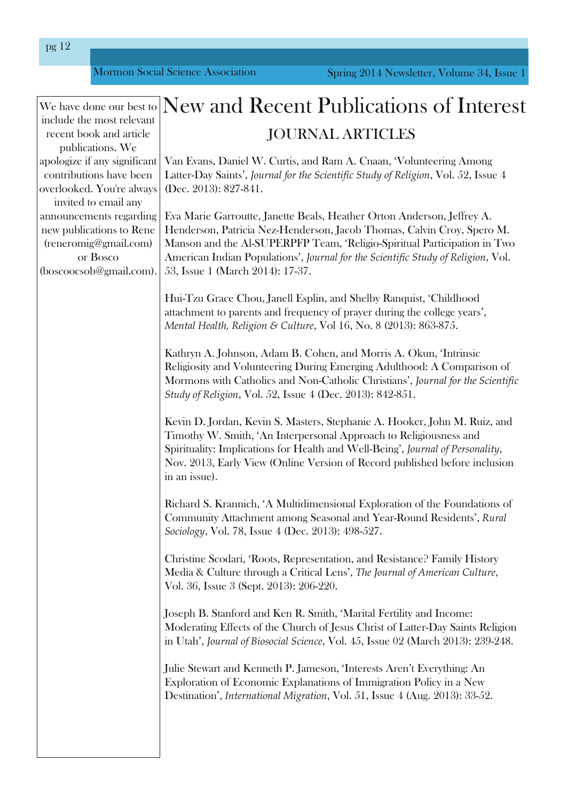|                                                      | We have done our best to                                                                                                         | New and Recent Publications of Interest                                                                                                                                                                                                                                                                                                              |
|------------------------------------------------------|----------------------------------------------------------------------------------------------------------------------------------|------------------------------------------------------------------------------------------------------------------------------------------------------------------------------------------------------------------------------------------------------------------------------------------------------------------------------------------------------|
| include the most relevant<br>recent book and article |                                                                                                                                  | <b>JOURNAL ARTICLES</b>                                                                                                                                                                                                                                                                                                                              |
|                                                      | publications. We<br>apologize if any significant<br>contributions have been<br>overlooked. You're always<br>invited to email any | Van Evans, Daniel W. Curtis, and Ram A. Cnaan, 'Volunteering Among<br>Latter-Day Saints', Journal for the Scientific Study of Religion, Vol. 52, Issue 4<br>(Dec. 2013): 827-841.                                                                                                                                                                    |
|                                                      | announcements regarding<br>new publications to Rene<br>(reneromig@gmail.com)<br>or Bosco<br>(boscoocsob@gmail.com).              | Eva Marie Garroutte, Janette Beals, Heather Orton Anderson, Jeffrey A.<br>Henderson, Patricia Nez-Henderson, Jacob Thomas, Calvin Croy, Spero M.<br>Manson and the Al-SUPERPFP Team, 'Religio-Spiritual Participation in Two<br>American Indian Populations', Journal for the Scientific Study of Religion, Vol.<br>53, Issue 1 (March 2014): 17-37. |
|                                                      |                                                                                                                                  | Hui-Tzu Grace Chou, Janell Esplin, and Shelby Ranquist, 'Childhood<br>attachment to parents and frequency of prayer during the college years',<br>Mental Health, Religion & Culture, Vol 16, No. 8 (2013): 863-875.                                                                                                                                  |
|                                                      |                                                                                                                                  | Kathryn A. Johnson, Adam B. Cohen, and Morris A. Okun, 'Intrinsic<br>Religiosity and Volunteering During Emerging Adulthood: A Comparison of<br>Mormons with Catholics and Non-Catholic Christians', Journal for the Scientific<br>Study of Religion, Vol. 52, Issue 4 (Dec. 2013): 842-851.                                                         |
|                                                      |                                                                                                                                  | Kevin D. Jordan, Kevin S. Masters, Stephanie A. Hooker, John M. Ruiz, and<br>Timothy W. Smith, 'An Interpersonal Approach to Religiousness and<br>Spirituality: Implications for Health and Well-Being', Journal of Personality,<br>Nov. 2013, Early View (Online Version of Record published before inclusion<br>in an issue).                      |
|                                                      |                                                                                                                                  | Richard S. Krannich, 'A Multidimensional Exploration of the Foundations of<br>Community Attachment among Seasonal and Year-Round Residents', Rural<br>Sociology, Vol. 78, Issue 4 (Dec. 2013): 498-527.                                                                                                                                              |
|                                                      |                                                                                                                                  | Christine Scodari, 'Roots, Representation, and Resistance? Family History<br>Media & Culture through a Critical Lens', The Journal of American Culture,<br>Vol. 36, Issue 3 (Sept. 2013): 206-220.                                                                                                                                                   |
|                                                      |                                                                                                                                  | Joseph B. Stanford and Ken R. Smith, 'Marital Fertility and Income:<br>Moderating Effects of the Church of Jesus Christ of Latter-Day Saints Religion<br>in Utah', Journal of Biosocial Science, Vol. 45, Issue 02 (March 2013): 239-248.                                                                                                            |
|                                                      |                                                                                                                                  | Julie Stewart and Kenneth P. Jameson, 'Interests Aren't Everything: An<br>Exploration of Economic Explanations of Immigration Policy in a New<br>Destination', International Migration, Vol. 51, Issue 4 (Aug. 2013): 33-52.                                                                                                                         |
|                                                      |                                                                                                                                  |                                                                                                                                                                                                                                                                                                                                                      |

<span id="page-11-0"></span>pg 12